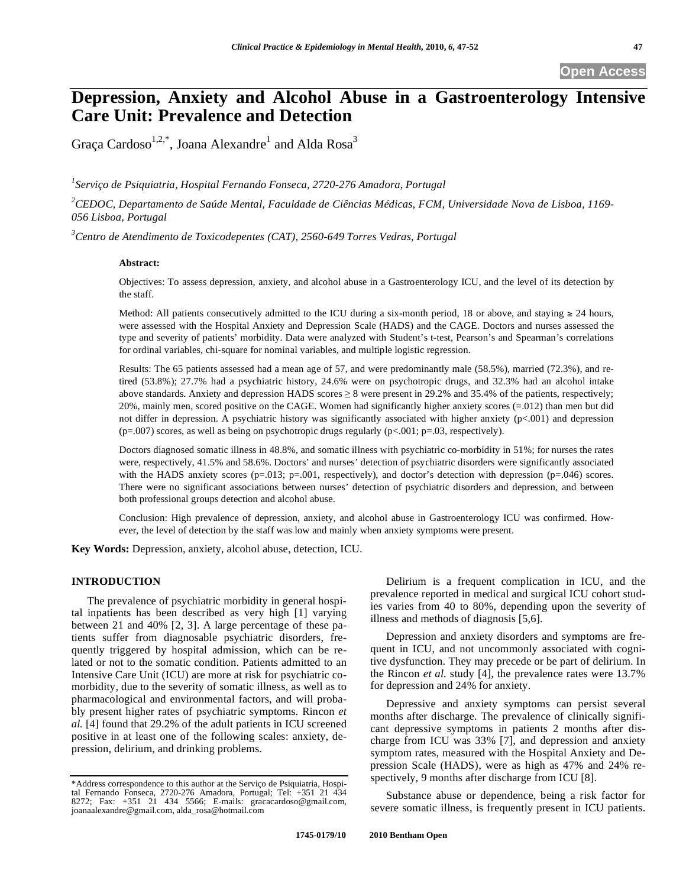# **Depression, Anxiety and Alcohol Abuse in a Gastroenterology Intensive Care Unit: Prevalence and Detection**

Graça Cardoso $^{1,2,*}$ , Joana Alexandre $^{\rm 1}$  and Alda Rosa $^{\rm 3}$ 

*1 Serviço de Psiquiatria, Hospital Fernando Fonseca, 2720-276 Amadora, Portugal* 

*2 CEDOC, Departamento de Saúde Mental, Faculdade de Ciências Médicas, FCM, Universidade Nova de Lisboa, 1169- 056 Lisboa, Portugal* 

*3 Centro de Atendimento de Toxicodepentes (CAT), 2560-649 Torres Vedras, Portugal* 

## **Abstract:**

Objectives: To assess depression, anxiety, and alcohol abuse in a Gastroenterology ICU, and the level of its detection by the staff.

Method: All patients consecutively admitted to the ICU during a six-month period, 18 or above, and staying  $\geq 24$  hours, were assessed with the Hospital Anxiety and Depression Scale (HADS) and the CAGE. Doctors and nurses assessed the type and severity of patients' morbidity. Data were analyzed with Student's t-test, Pearson's and Spearman's correlations for ordinal variables, chi-square for nominal variables, and multiple logistic regression.

Results: The 65 patients assessed had a mean age of 57, and were predominantly male (58.5%), married (72.3%), and retired (53.8%); 27.7% had a psychiatric history, 24.6% were on psychotropic drugs, and 32.3% had an alcohol intake above standards. Anxiety and depression HADS scores  $\geq 8$  were present in 29.2% and 35.4% of the patients, respectively; 20%, mainly men, scored positive on the CAGE. Women had significantly higher anxiety scores (=.012) than men but did not differ in depression. A psychiatric history was significantly associated with higher anxiety (p<.001) and depression ( $p=0.007$ ) scores, as well as being on psychotropic drugs regularly ( $p<.001$ ;  $p=0.03$ , respectively).

Doctors diagnosed somatic illness in 48.8%, and somatic illness with psychiatric co-morbidity in 51%; for nurses the rates were, respectively, 41.5% and 58.6%. Doctors' and nurses' detection of psychiatric disorders were significantly associated with the HADS anxiety scores ( $p=0.013$ ;  $p=0.01$ , respectively), and doctor's detection with depression ( $p=0.046$ ) scores. There were no significant associations between nurses' detection of psychiatric disorders and depression, and between both professional groups detection and alcohol abuse.

Conclusion: High prevalence of depression, anxiety, and alcohol abuse in Gastroenterology ICU was confirmed. However, the level of detection by the staff was low and mainly when anxiety symptoms were present.

**Key Words:** Depression, anxiety, alcohol abuse, detection, ICU.

# **INTRODUCTION**

The prevalence of psychiatric morbidity in general hospital inpatients has been described as very high [1] varying between 21 and 40% [2, 3]. A large percentage of these patients suffer from diagnosable psychiatric disorders, frequently triggered by hospital admission, which can be related or not to the somatic condition. Patients admitted to an Intensive Care Unit (ICU) are more at risk for psychiatric comorbidity, due to the severity of somatic illness, as well as to pharmacological and environmental factors, and will probably present higher rates of psychiatric symptoms. Rincon *et al.* [4] found that 29.2% of the adult patients in ICU screened positive in at least one of the following scales: anxiety, depression, delirium, and drinking problems.

Delirium is a frequent complication in ICU, and the prevalence reported in medical and surgical ICU cohort studies varies from 40 to 80%, depending upon the severity of illness and methods of diagnosis [5,6].

Depression and anxiety disorders and symptoms are frequent in ICU, and not uncommonly associated with cognitive dysfunction. They may precede or be part of delirium. In the Rincon *et al.* study [4], the prevalence rates were 13.7% for depression and 24% for anxiety.

Depressive and anxiety symptoms can persist several months after discharge. The prevalence of clinically significant depressive symptoms in patients 2 months after discharge from ICU was 33% [7], and depression and anxiety symptom rates, measured with the Hospital Anxiety and Depression Scale (HADS), were as high as 47% and 24% respectively, 9 months after discharge from ICU [8].

Substance abuse or dependence, being a risk factor for severe somatic illness, is frequently present in ICU patients.

<sup>\*</sup>Address correspondence to this author at the Serviço de Psiquiatria, Hospital Fernando Fonseca, 2720-276 Amadora, Portugal; Tel: +351 21 434 8272; Fax: +351 21 434 5566; E-mails: gracacardoso@gmail.com, joanaalexandre@gmail.com, alda\_rosa@hotmail.com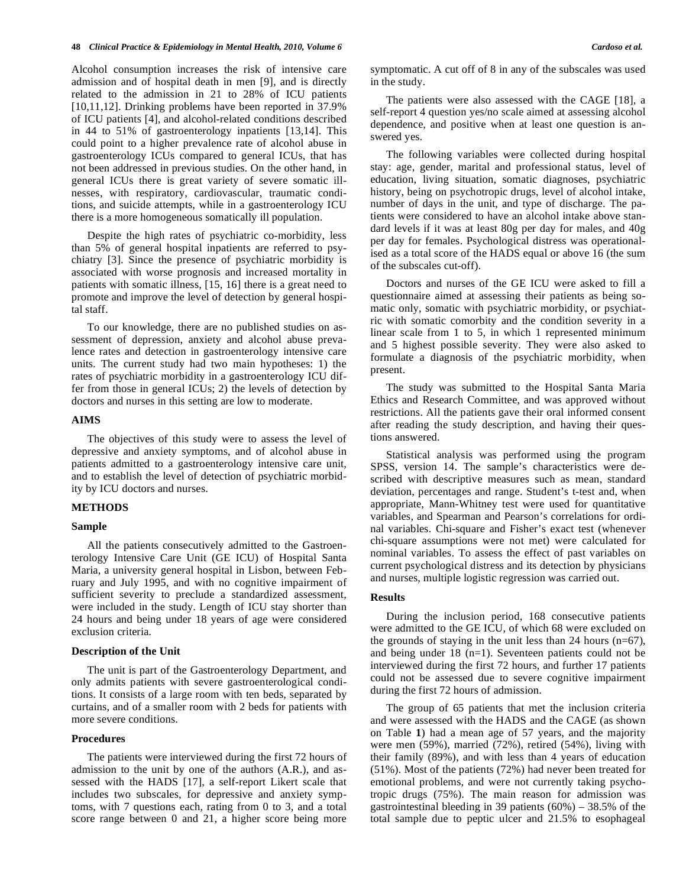Alcohol consumption increases the risk of intensive care admission and of hospital death in men [9], and is directly related to the admission in 21 to 28% of ICU patients [10,11,12]. Drinking problems have been reported in 37.9% of ICU patients [4], and alcohol-related conditions described in 44 to 51% of gastroenterology inpatients [13,14]. This could point to a higher prevalence rate of alcohol abuse in gastroenterology ICUs compared to general ICUs, that has not been addressed in previous studies. On the other hand, in general ICUs there is great variety of severe somatic illnesses, with respiratory, cardiovascular, traumatic conditions, and suicide attempts, while in a gastroenterology ICU there is a more homogeneous somatically ill population.

Despite the high rates of psychiatric co-morbidity, less than 5% of general hospital inpatients are referred to psychiatry [3]. Since the presence of psychiatric morbidity is associated with worse prognosis and increased mortality in patients with somatic illness, [15, 16] there is a great need to promote and improve the level of detection by general hospital staff.

To our knowledge, there are no published studies on assessment of depression, anxiety and alcohol abuse prevalence rates and detection in gastroenterology intensive care units. The current study had two main hypotheses: 1) the rates of psychiatric morbidity in a gastroenterology ICU differ from those in general ICUs; 2) the levels of detection by doctors and nurses in this setting are low to moderate.

## **AIMS**

The objectives of this study were to assess the level of depressive and anxiety symptoms, and of alcohol abuse in patients admitted to a gastroenterology intensive care unit, and to establish the level of detection of psychiatric morbidity by ICU doctors and nurses.

### **METHODS**

#### **Sample**

All the patients consecutively admitted to the Gastroenterology Intensive Care Unit (GE ICU) of Hospital Santa Maria, a university general hospital in Lisbon, between February and July 1995, and with no cognitive impairment of sufficient severity to preclude a standardized assessment, were included in the study. Length of ICU stay shorter than 24 hours and being under 18 years of age were considered exclusion criteria.

# **Description of the Unit**

The unit is part of the Gastroenterology Department, and only admits patients with severe gastroenterological conditions. It consists of a large room with ten beds, separated by curtains, and of a smaller room with 2 beds for patients with more severe conditions.

# **Procedures**

The patients were interviewed during the first 72 hours of admission to the unit by one of the authors (A.R.), and assessed with the HADS [17], a self-report Likert scale that includes two subscales, for depressive and anxiety symptoms, with 7 questions each, rating from 0 to 3, and a total score range between 0 and 21, a higher score being more symptomatic. A cut off of 8 in any of the subscales was used in the study.

The patients were also assessed with the CAGE [18], a self-report 4 question yes/no scale aimed at assessing alcohol dependence, and positive when at least one question is answered yes.

The following variables were collected during hospital stay: age, gender, marital and professional status, level of education, living situation, somatic diagnoses, psychiatric history, being on psychotropic drugs, level of alcohol intake, number of days in the unit, and type of discharge. The patients were considered to have an alcohol intake above standard levels if it was at least 80g per day for males, and 40g per day for females. Psychological distress was operationalised as a total score of the HADS equal or above 16 (the sum of the subscales cut-off).

Doctors and nurses of the GE ICU were asked to fill a questionnaire aimed at assessing their patients as being somatic only, somatic with psychiatric morbidity, or psychiatric with somatic comorbity and the condition severity in a linear scale from 1 to 5, in which 1 represented minimum and 5 highest possible severity. They were also asked to formulate a diagnosis of the psychiatric morbidity, when present.

The study was submitted to the Hospital Santa Maria Ethics and Research Committee, and was approved without restrictions. All the patients gave their oral informed consent after reading the study description, and having their questions answered.

Statistical analysis was performed using the program SPSS, version 14. The sample's characteristics were described with descriptive measures such as mean, standard deviation, percentages and range. Student's t-test and, when appropriate, Mann-Whitney test were used for quantitative variables, and Spearman and Pearson's correlations for ordinal variables. Chi-square and Fisher's exact test (whenever chi-square assumptions were not met) were calculated for nominal variables. To assess the effect of past variables on current psychological distress and its detection by physicians and nurses, multiple logistic regression was carried out.

# **Results**

During the inclusion period, 168 consecutive patients were admitted to the GE ICU, of which 68 were excluded on the grounds of staying in the unit less than 24 hours (n=67), and being under 18 (n=1). Seventeen patients could not be interviewed during the first 72 hours, and further 17 patients could not be assessed due to severe cognitive impairment during the first 72 hours of admission.

The group of 65 patients that met the inclusion criteria and were assessed with the HADS and the CAGE (as shown on Table **1**) had a mean age of 57 years, and the majority were men (59%), married (72%), retired (54%), living with their family (89%), and with less than 4 years of education (51%). Most of the patients (72%) had never been treated for emotional problems, and were not currently taking psychotropic drugs (75%). The main reason for admission was gastrointestinal bleeding in 39 patients  $(60\%) - 38.5\%$  of the total sample due to peptic ulcer and 21.5% to esophageal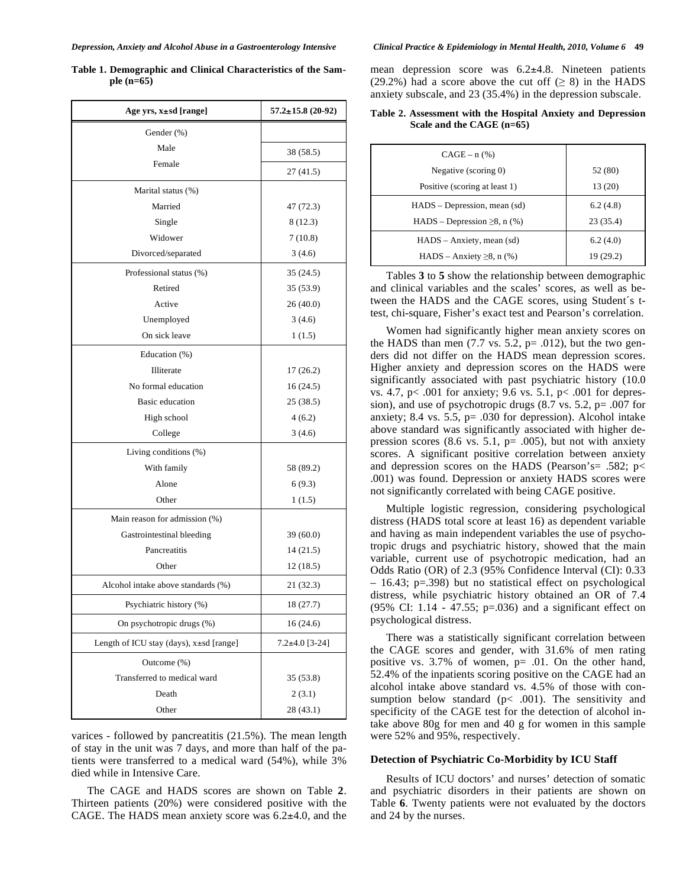| Age yrs, x±sd [range]                         | $57.2 \pm 15.8$ (20-92) |
|-----------------------------------------------|-------------------------|
| Gender (%)                                    |                         |
| Male                                          | 38 (58.5)               |
| Female                                        | 27 (41.5)               |
| Marital status (%)                            |                         |
| Married                                       | 47 (72.3)               |
| Single                                        | 8 (12.3)                |
| Widower                                       | 7(10.8)                 |
| Divorced/separated                            | 3(4.6)                  |
| Professional status (%)                       | 35 (24.5)               |
| Retired                                       | 35 (53.9)               |
| Active                                        | 26(40.0)                |
| Unemployed                                    | 3(4.6)                  |
| On sick leave                                 | 1(1.5)                  |
| Education (%)                                 |                         |
| Illiterate                                    | 17(26.2)                |
| No formal education                           | 16(24.5)                |
| Basic education                               | 25 (38.5)               |
| High school                                   | 4(6.2)                  |
| College                                       | 3(4.6)                  |
| Living conditions (%)                         |                         |
| With family                                   | 58 (89.2)               |
| Alone                                         | 6(9.3)                  |
| Other                                         | 1(1.5)                  |
| Main reason for admission (%)                 |                         |
| Gastrointestinal bleeding                     | 39 (60.0)               |
| Pancreatitis                                  | 14 (21.5)               |
| Other                                         | 12 (18.5)               |
| Alcohol intake above standards (%)            | 21 (32.3)               |
| Psychiatric history (%)                       | 18 (27.7)               |
| On psychotropic drugs (%)                     | 16(24.6)                |
| Length of ICU stay (days), $x \pm sd$ [range] | $7.2+4.0$ [3-24]        |
| Outcome (%)                                   |                         |
| Transferred to medical ward                   | 35 (53.8)               |
| Death                                         | 2(3.1)                  |
| Other                                         | 28 (43.1)               |

**Table 1. Demographic and Clinical Characteristics of the Sample (n=65)**

varices - followed by pancreatitis (21.5%). The mean length of stay in the unit was 7 days, and more than half of the patients were transferred to a medical ward (54%), while 3% died while in Intensive Care.

The CAGE and HADS scores are shown on Table **2**. Thirteen patients (20%) were considered positive with the CAGE. The HADS mean anxiety score was 6.2±4.0, and the mean depression score was 6.2±4.8. Nineteen patients (29.2%) had a score above the cut off ( $\geq$  8) in the HADS anxiety subscale, and 23 (35.4%) in the depression subscale.

| Table 2. Assessment with the Hospital Anxiety and Depression |  |  |  |
|--------------------------------------------------------------|--|--|--|
| Scale and the CAGE $(n=65)$                                  |  |  |  |

| $CAGE - n$ (%)                       |           |
|--------------------------------------|-----------|
| Negative (scoring 0)                 | 52 (80)   |
| Positive (scoring at least 1)        | 13 (20)   |
| HADS – Depression, mean (sd)         | 6.2(4.8)  |
| $HADS - Depression \ge 8$ , n $(\%)$ | 23(35.4)  |
| $HADS - Anxiety, mean (sd)$          | 6.2(4.0)  |
| HADS – Anxiety $\geq 8$ , n (%)      | 19 (29.2) |

Tables **3** to **5** show the relationship between demographic and clinical variables and the scales' scores, as well as between the HADS and the CAGE scores, using Student´s ttest, chi-square, Fisher's exact test and Pearson's correlation.

Women had significantly higher mean anxiety scores on the HADS than men  $(7.7 \text{ vs. } 5.2, \text{ p} = .012)$ , but the two genders did not differ on the HADS mean depression scores. Higher anxiety and depression scores on the HADS were significantly associated with past psychiatric history (10.0 vs. 4.7, p< .001 for anxiety; 9.6 vs. 5.1, p< .001 for depression), and use of psychotropic drugs (8.7 vs. 5.2, p= .007 for anxiety; 8.4 vs. 5.5, p= .030 for depression). Alcohol intake above standard was significantly associated with higher depression scores  $(8.6 \text{ vs. } 5.1, \text{ p} = .005)$ , but not with anxiety scores. A significant positive correlation between anxiety and depression scores on the HADS (Pearson's= .582;  $p$  < .001) was found. Depression or anxiety HADS scores were not significantly correlated with being CAGE positive.

Multiple logistic regression, considering psychological distress (HADS total score at least 16) as dependent variable and having as main independent variables the use of psychotropic drugs and psychiatric history, showed that the main variable, current use of psychotropic medication, had an Odds Ratio (OR) of 2.3 (95% Confidence Interval (CI): 0.33 – 16.43; p=.398) but no statistical effect on psychological distress, while psychiatric history obtained an OR of 7.4 (95% CI: 1.14 - 47.55; p=.036) and a significant effect on psychological distress.

There was a statistically significant correlation between the CAGE scores and gender, with 31.6% of men rating positive vs. 3.7% of women, p= .01. On the other hand, 52.4% of the inpatients scoring positive on the CAGE had an alcohol intake above standard vs. 4.5% of those with consumption below standard  $(p< .001)$ . The sensitivity and specificity of the CAGE test for the detection of alcohol intake above 80g for men and 40 g for women in this sample were 52% and 95%, respectively.

## **Detection of Psychiatric Co-Morbidity by ICU Staff**

Results of ICU doctors' and nurses' detection of somatic and psychiatric disorders in their patients are shown on Table **6**. Twenty patients were not evaluated by the doctors and 24 by the nurses.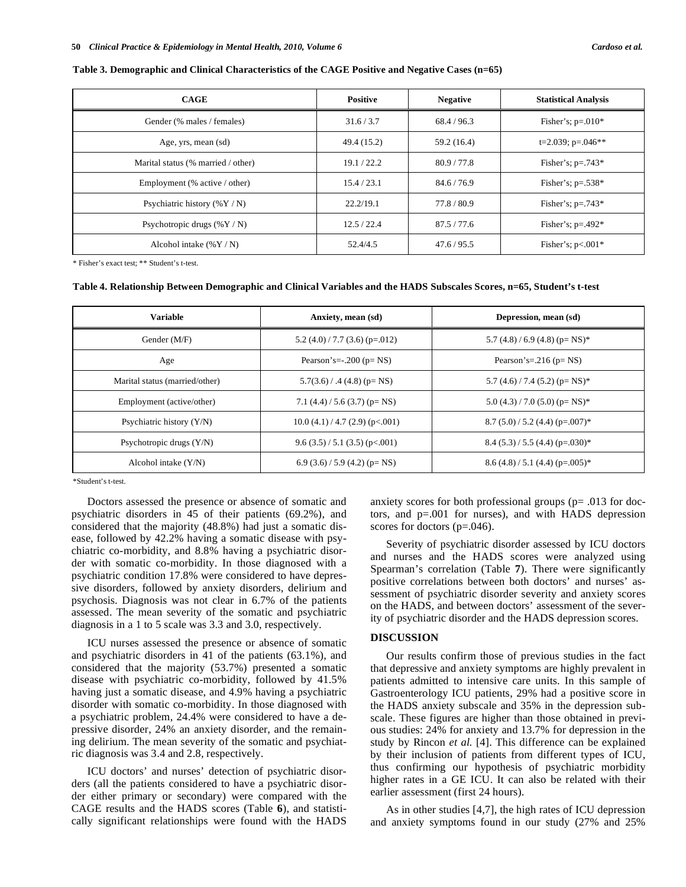### **Table 3. Demographic and Clinical Characteristics of the CAGE Positive and Negative Cases (n=65)**

| <b>CAGE</b>                        | <b>Positive</b> | <b>Negative</b> | <b>Statistical Analysis</b> |
|------------------------------------|-----------------|-----------------|-----------------------------|
| Gender (% males / females)         | 31.6 / 3.7      | 68.4/96.3       | Fisher's; $p=.010*$         |
| Age, yrs, mean (sd)                | 49.4 (15.2)     | 59.2 (16.4)     | $t=2.039$ ; $p=.046**$      |
| Marital status (% married / other) | 19.1 / 22.2     | 80.9 / 77.8     | Fisher's; $p=.743*$         |
| Employment (% active / other)      | 15.4/23.1       | 84.6 / 76.9     | Fisher's; $p=.538*$         |
| Psychiatric history $(\%Y/N)$      | 22.2/19.1       | 77.8 / 80.9     | Fisher's; $p=.743*$         |
| Psychotropic drugs $(\%Y/N)$       | 12.5 / 22.4     | 87.5/77.6       | Fisher's; $p=.492*$         |
| Alcohol intake $(\%Y/N)$           | 52.4/4.5        | 47.6 / 95.5     | Fisher's; $p<.001*$         |

\* Fisher's exact test; \*\* Student's t-test.

#### **Table 4. Relationship Between Demographic and Clinical Variables and the HADS Subscales Scores, n=65, Student's t-test**

| <b>Variable</b>                | Anxiety, mean (sd)                | Depression, mean (sd)                          |
|--------------------------------|-----------------------------------|------------------------------------------------|
| Gender (M/F)                   | $5.2$ (4.0) / 7.7 (3.6) (p=.012)  | $5.7(4.8)/6.9(4.8)(p=NS)^*$                    |
| Age                            | Pearson's= $-200$ ( $p=NS$ )      | Pearson's= $.216$ (p= $NS$ )                   |
| Marital status (married/other) | $5.7(3.6)$ / .4 (4.8) (p= NS)     | 5.7 $(4.6)$ / 7.4 $(5.2)$ (p= NS) <sup>*</sup> |
| Employment (active/other)      | 7.1 $(4.4) / 5.6$ (3.7) (p=NS)    | $5.0$ (4.3) / 7.0 (5.0) (p= NS) <sup>*</sup>   |
| Psychiatric history (Y/N)      | $10.0$ (4.1) / 4.7 (2.9) (p<.001) | $8.7(5.0)/5.2(4.4)(p=0.007)$ *                 |
| Psychotropic drugs $(Y/N)$     | 9.6(3.5)/5.1(3.5)(p<.001)         | $8.4(5.3)/5.5(4.4)(p=.030)*$                   |
| Alcohol intake $(Y/N)$         | $6.9(3.6)/5.9(4.2)(p=NS)$         | $8.6$ (4.8) / 5.1 (4.4) (p=.005) <sup>*</sup>  |

\*Student's t-test.

Doctors assessed the presence or absence of somatic and psychiatric disorders in 45 of their patients (69.2%), and considered that the majority (48.8%) had just a somatic disease, followed by 42.2% having a somatic disease with psychiatric co-morbidity, and 8.8% having a psychiatric disorder with somatic co-morbidity. In those diagnosed with a psychiatric condition 17.8% were considered to have depressive disorders, followed by anxiety disorders, delirium and psychosis. Diagnosis was not clear in 6.7% of the patients assessed. The mean severity of the somatic and psychiatric diagnosis in a 1 to 5 scale was 3.3 and 3.0, respectively.

ICU nurses assessed the presence or absence of somatic and psychiatric disorders in 41 of the patients (63.1%), and considered that the majority (53.7%) presented a somatic disease with psychiatric co-morbidity, followed by 41.5% having just a somatic disease, and 4.9% having a psychiatric disorder with somatic co-morbidity. In those diagnosed with a psychiatric problem, 24.4% were considered to have a depressive disorder, 24% an anxiety disorder, and the remaining delirium. The mean severity of the somatic and psychiatric diagnosis was 3.4 and 2.8, respectively.

ICU doctors' and nurses' detection of psychiatric disorders (all the patients considered to have a psychiatric disorder either primary or secondary) were compared with the CAGE results and the HADS scores (Table **6**), and statistically significant relationships were found with the HADS anxiety scores for both professional groups (p= .013 for doctors, and p=.001 for nurses), and with HADS depression scores for doctors (p=.046).

Severity of psychiatric disorder assessed by ICU doctors and nurses and the HADS scores were analyzed using Spearman's correlation (Table **7**). There were significantly positive correlations between both doctors' and nurses' assessment of psychiatric disorder severity and anxiety scores on the HADS, and between doctors' assessment of the severity of psychiatric disorder and the HADS depression scores.

# **DISCUSSION**

Our results confirm those of previous studies in the fact that depressive and anxiety symptoms are highly prevalent in patients admitted to intensive care units. In this sample of Gastroenterology ICU patients, 29% had a positive score in the HADS anxiety subscale and 35% in the depression subscale. These figures are higher than those obtained in previous studies: 24% for anxiety and 13.7% for depression in the study by Rincon *et al.* [4]. This difference can be explained by their inclusion of patients from different types of ICU, thus confirming our hypothesis of psychiatric morbidity higher rates in a GE ICU. It can also be related with their earlier assessment (first 24 hours).

As in other studies [4,7], the high rates of ICU depression and anxiety symptoms found in our study (27% and 25%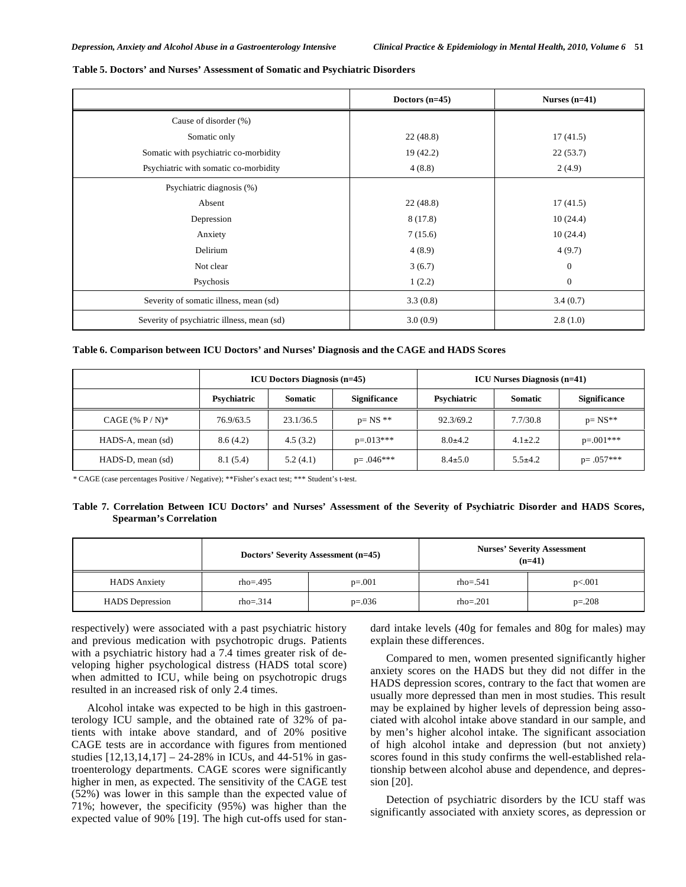|                                            | Doctors $(n=45)$ | Nurses $(n=41)$  |
|--------------------------------------------|------------------|------------------|
| Cause of disorder (%)                      |                  |                  |
| Somatic only                               | 22(48.8)         | 17(41.5)         |
| Somatic with psychiatric co-morbidity      | 19(42.2)         | 22(53.7)         |
| Psychiatric with somatic co-morbidity      | 4(8.8)           | 2(4.9)           |
| Psychiatric diagnosis (%)                  |                  |                  |
| Absent                                     | 22(48.8)         | 17(41.5)         |
| Depression                                 | 8(17.8)          | 10(24.4)         |
| Anxiety                                    | 7(15.6)          | 10(24.4)         |
| Delirium                                   | 4(8.9)           | 4(9.7)           |
| Not clear                                  | 3(6.7)           | $\boldsymbol{0}$ |
| Psychosis                                  | 1(2.2)           | $\mathbf{0}$     |
| Severity of somatic illness, mean (sd)     | 3.3(0.8)         | 3.4(0.7)         |
| Severity of psychiatric illness, mean (sd) | 3.0(0.9)         | 2.8(1.0)         |

#### **Table 5. Doctors' and Nurses' Assessment of Somatic and Psychiatric Disorders**

|                    | <b>ICU Doctors Diagnosis (n=45)</b> |                | <b>ICU Nurses Diagnosis (n=41)</b> |               |               |                     |
|--------------------|-------------------------------------|----------------|------------------------------------|---------------|---------------|---------------------|
|                    | Psychiatric                         | <b>Somatic</b> | <b>Significance</b>                | Psychiatric   | Somatic       | <b>Significance</b> |
| $CAGE$ (% $P/N$ )* | 76.9/63.5                           | 23.1/36.5      | $p = NS$ **                        | 92.3/69.2     | 7.7/30.8      | $p=NS**$            |
| HADS-A, mean (sd)  | 8.6(4.2)                            | 4.5(3.2)       | $p = 0.013***$                     | $8.0 \pm 4.2$ | $4.1 \pm 2.2$ | $p=.001***$         |
| HADS-D, mean (sd)  | 8.1 (5.4)                           | 5.2(4.1)       | $p = .046***$                      | $8.4 \pm 5.0$ | $5.5 + 4.2$   | $p = .057***$       |

*\** CAGE (case percentages Positive / Negative); \*\*Fisher's exact test; \*\*\* Student's t-test.

## **Table 7. Correlation Between ICU Doctors' and Nurses' Assessment of the Severity of Psychiatric Disorder and HADS Scores, Spearman's Correlation**

|                        | Doctors' Severity Assessment (n=45) |             | <b>Nurses' Severity Assessment</b><br>$(n=41)$ |          |
|------------------------|-------------------------------------|-------------|------------------------------------------------|----------|
| <b>HADS</b> Anxiety    | $rho = .495$                        | $p=.001$    | $rho = .541$                                   | p<.001   |
| <b>HADS</b> Depression | $rho = .314$                        | $p = 0.036$ | $rho = .201$                                   | $p=.208$ |

respectively) were associated with a past psychiatric history and previous medication with psychotropic drugs. Patients with a psychiatric history had a 7.4 times greater risk of developing higher psychological distress (HADS total score) when admitted to ICU, while being on psychotropic drugs resulted in an increased risk of only 2.4 times.

Alcohol intake was expected to be high in this gastroenterology ICU sample, and the obtained rate of 32% of patients with intake above standard, and of 20% positive CAGE tests are in accordance with figures from mentioned studies [12,13,14,17] – 24-28% in ICUs, and 44-51% in gastroenterology departments. CAGE scores were significantly higher in men, as expected. The sensitivity of the CAGE test (52%) was lower in this sample than the expected value of 71%; however, the specificity (95%) was higher than the expected value of 90% [19]. The high cut-offs used for standard intake levels (40g for females and 80g for males) may explain these differences.

Compared to men, women presented significantly higher anxiety scores on the HADS but they did not differ in the HADS depression scores, contrary to the fact that women are usually more depressed than men in most studies. This result may be explained by higher levels of depression being associated with alcohol intake above standard in our sample, and by men's higher alcohol intake. The significant association of high alcohol intake and depression (but not anxiety) scores found in this study confirms the well-established relationship between alcohol abuse and dependence, and depression [20].

Detection of psychiatric disorders by the ICU staff was significantly associated with anxiety scores, as depression or